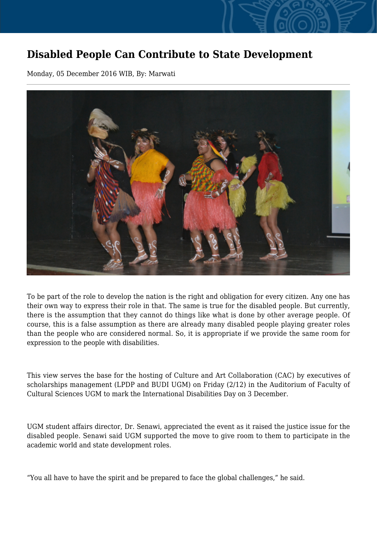## **Disabled People Can Contribute to State Development**

Monday, 05 December 2016 WIB, By: Marwati



To be part of the role to develop the nation is the right and obligation for every citizen. Any one has their own way to express their role in that. The same is true for the disabled people. But currently, there is the assumption that they cannot do things like what is done by other average people. Of course, this is a false assumption as there are already many disabled people playing greater roles than the people who are considered normal. So, it is appropriate if we provide the same room for expression to the people with disabilities.

This view serves the base for the hosting of Culture and Art Collaboration (CAC) by executives of scholarships management (LPDP and BUDI UGM) on Friday (2/12) in the Auditorium of Faculty of Cultural Sciences UGM to mark the International Disabilities Day on 3 December.

UGM student affairs director, Dr. Senawi, appreciated the event as it raised the justice issue for the disabled people. Senawi said UGM supported the move to give room to them to participate in the academic world and state development roles.

"You all have to have the spirit and be prepared to face the global challenges," he said.